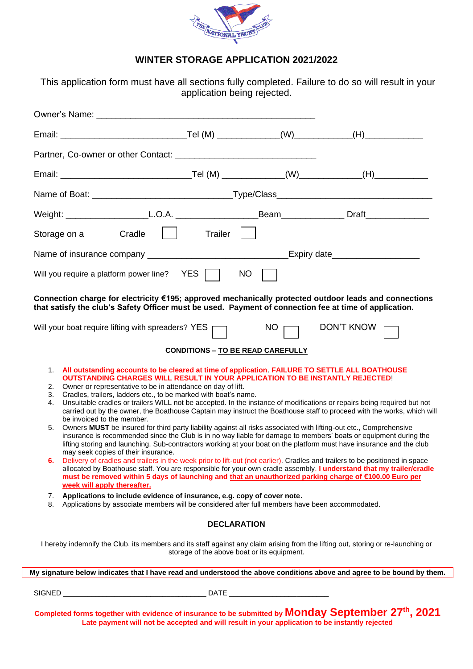

# **WINTER STORAGE APPLICATION 2021/2022**

This application form must have all sections fully completed. Failure to do so will result in your application being rejected.

| Storage on a Cradle                                                                                                                                                                                                                                                                                                                                                                                                                                                                                                                                                                                                                                                                                                                                                                                                                                                                                                                                                                                                                                                                                                                                                                           | $\vert \vert$ Trailer $\vert \vert$ |                                             |                                                                                                                                                                                                                                               |  |  |  |  |  |
|-----------------------------------------------------------------------------------------------------------------------------------------------------------------------------------------------------------------------------------------------------------------------------------------------------------------------------------------------------------------------------------------------------------------------------------------------------------------------------------------------------------------------------------------------------------------------------------------------------------------------------------------------------------------------------------------------------------------------------------------------------------------------------------------------------------------------------------------------------------------------------------------------------------------------------------------------------------------------------------------------------------------------------------------------------------------------------------------------------------------------------------------------------------------------------------------------|-------------------------------------|---------------------------------------------|-----------------------------------------------------------------------------------------------------------------------------------------------------------------------------------------------------------------------------------------------|--|--|--|--|--|
|                                                                                                                                                                                                                                                                                                                                                                                                                                                                                                                                                                                                                                                                                                                                                                                                                                                                                                                                                                                                                                                                                                                                                                                               |                                     |                                             |                                                                                                                                                                                                                                               |  |  |  |  |  |
| Will you require a platform power line? YES   NO                                                                                                                                                                                                                                                                                                                                                                                                                                                                                                                                                                                                                                                                                                                                                                                                                                                                                                                                                                                                                                                                                                                                              |                                     |                                             |                                                                                                                                                                                                                                               |  |  |  |  |  |
| Connection charge for electricity €195; approved mechanically protected outdoor leads and connections<br>that satisfy the club's Safety Officer must be used. Payment of connection fee at time of application.                                                                                                                                                                                                                                                                                                                                                                                                                                                                                                                                                                                                                                                                                                                                                                                                                                                                                                                                                                               |                                     |                                             |                                                                                                                                                                                                                                               |  |  |  |  |  |
| Will your boat require lifting with spreaders? $YES$                                                                                                                                                                                                                                                                                                                                                                                                                                                                                                                                                                                                                                                                                                                                                                                                                                                                                                                                                                                                                                                                                                                                          |                                     | $NO \fbox{}$                                | DON'T KNOW                                                                                                                                                                                                                                    |  |  |  |  |  |
| <b>CONDITIONS - TO BE READ CAREFULLY</b>                                                                                                                                                                                                                                                                                                                                                                                                                                                                                                                                                                                                                                                                                                                                                                                                                                                                                                                                                                                                                                                                                                                                                      |                                     |                                             |                                                                                                                                                                                                                                               |  |  |  |  |  |
| 1. All outstanding accounts to be cleared at time of application. FAILURE TO SETTLE ALL BOATHOUSE<br>OUTSTANDING CHARGES WILL RESULT IN YOUR APPLICATION TO BE INSTANTLY REJECTED!<br>Owner or representative to be in attendance on day of lift.<br>2.<br>Cradles, trailers, ladders etc., to be marked with boat's name.<br>3.<br>Unsuitable cradles or trailers WILL not be accepted. In the instance of modifications or repairs being required but not<br>4.<br>be invoiced to the member.<br>Owners MUST be insured for third party liability against all risks associated with lifting-out etc., Comprehensive<br>5.<br>insurance is recommended since the Club is in no way liable for damage to members' boats or equipment during the<br>lifting storing and launching. Sub-contractors working at your boat on the platform must have insurance and the club<br>may seek copies of their insurance.<br>Delivery of cradles and trailers in the week prior to lift-out (not earlier). Cradles and trailers to be positioned in space<br>6.<br>must be removed within 5 days of launching and that an unauthorized parking charge of €100.00 Euro per<br>week will apply thereafter. |                                     |                                             | carried out by the owner, the Boathouse Captain may instruct the Boathouse staff to proceed with the works, which will<br>allocated by Boathouse staff. You are responsible for your own cradle assembly. I understand that my trailer/cradle |  |  |  |  |  |
| Applications to include evidence of insurance, e.g. copy of cover note.<br>7.<br>Applications by associate members will be considered after full members have been accommodated.<br>8.                                                                                                                                                                                                                                                                                                                                                                                                                                                                                                                                                                                                                                                                                                                                                                                                                                                                                                                                                                                                        |                                     |                                             |                                                                                                                                                                                                                                               |  |  |  |  |  |
|                                                                                                                                                                                                                                                                                                                                                                                                                                                                                                                                                                                                                                                                                                                                                                                                                                                                                                                                                                                                                                                                                                                                                                                               | <b>DECLARATION</b>                  |                                             |                                                                                                                                                                                                                                               |  |  |  |  |  |
| I hereby indemnify the Club, its members and its staff against any claim arising from the lifting out, storing or re-launching or                                                                                                                                                                                                                                                                                                                                                                                                                                                                                                                                                                                                                                                                                                                                                                                                                                                                                                                                                                                                                                                             |                                     | storage of the above boat or its equipment. |                                                                                                                                                                                                                                               |  |  |  |  |  |
| My signature below indicates that I have read and understood the above conditions above and agree to be bound by them.                                                                                                                                                                                                                                                                                                                                                                                                                                                                                                                                                                                                                                                                                                                                                                                                                                                                                                                                                                                                                                                                        |                                     |                                             |                                                                                                                                                                                                                                               |  |  |  |  |  |
|                                                                                                                                                                                                                                                                                                                                                                                                                                                                                                                                                                                                                                                                                                                                                                                                                                                                                                                                                                                                                                                                                                                                                                                               |                                     |                                             |                                                                                                                                                                                                                                               |  |  |  |  |  |
| Completed forms together with evidence of insurance to be submitted by Monday September 27 <sup>th</sup> , 2021<br>Late payment will not be accepted and will result in your application to be instantly rejected                                                                                                                                                                                                                                                                                                                                                                                                                                                                                                                                                                                                                                                                                                                                                                                                                                                                                                                                                                             |                                     |                                             |                                                                                                                                                                                                                                               |  |  |  |  |  |